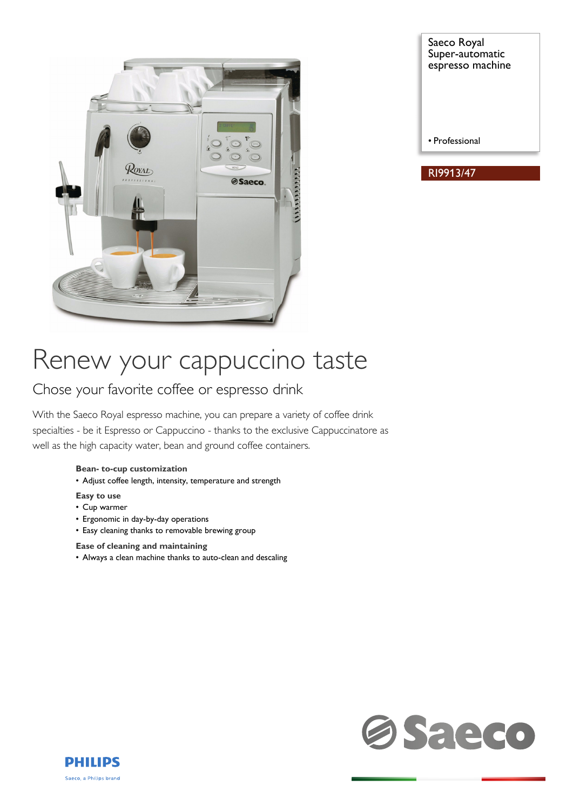

Saeco Royal Super-automatic espresso machine

RI9913/47

• Professional

# Renew your cappuccino taste

# Chose your favorite coffee or espresso drink

With the Saeco Royal espresso machine, you can prepare a variety of coffee drink specialties - be it Espresso or Cappuccino - thanks to the exclusive Cappuccinatore as well as the high capacity water, bean and ground coffee containers.

### **Bean- to-cup customization**

• Adjust coffee length, intensity, temperature and strength

### **Easy to use**

- Cup warmer
- Ergonomic in day-by-day operations
- Easy cleaning thanks to removable brewing group

### **Ease of cleaning and maintaining**

• Always a clean machine thanks to auto-clean and descaling